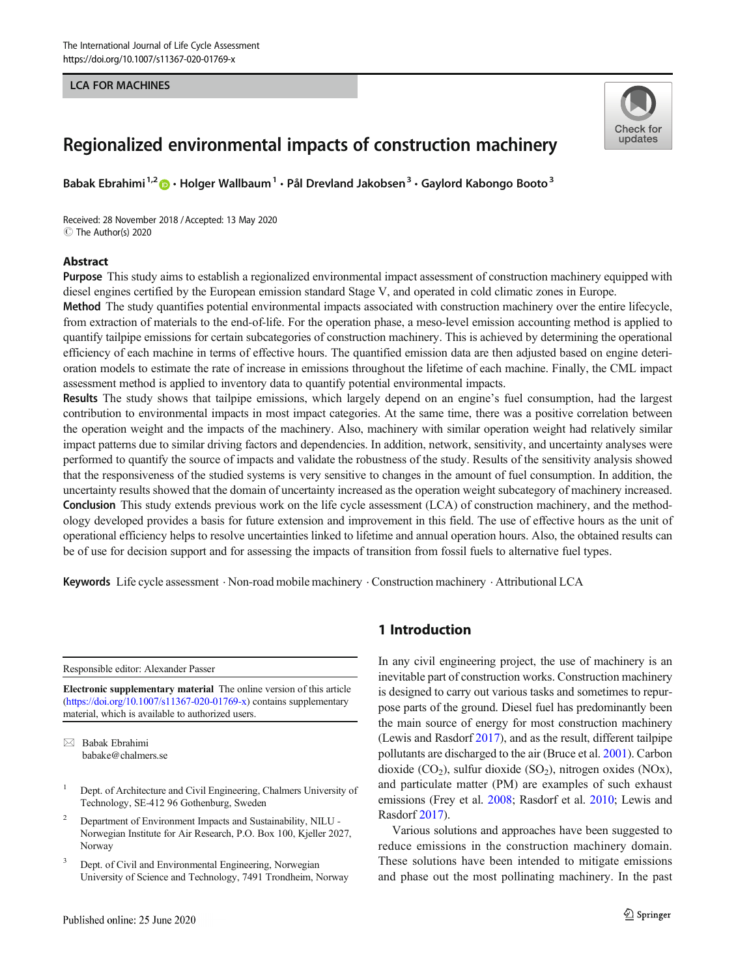#### LCA FOR MACHINES



# Regionalized environmental impacts of construction machinery

Babak Ebrahimi<sup>1,2</sup>  $\bullet$  · Holger Wallbaum<sup>1</sup> · Pål Drevland Jakobsen<sup>3</sup> · Gaylord Kabongo Booto<sup>3</sup>

Received: 28 November 2018 /Accepted: 13 May 2020  $\circledcirc$  The Author(s) 2020

#### **Abstract**

Purpose This study aims to establish a regionalized environmental impact assessment of construction machinery equipped with diesel engines certified by the European emission standard Stage V, and operated in cold climatic zones in Europe.

Method The study quantifies potential environmental impacts associated with construction machinery over the entire lifecycle, from extraction of materials to the end-of-life. For the operation phase, a meso-level emission accounting method is applied to quantify tailpipe emissions for certain subcategories of construction machinery. This is achieved by determining the operational efficiency of each machine in terms of effective hours. The quantified emission data are then adjusted based on engine deterioration models to estimate the rate of increase in emissions throughout the lifetime of each machine. Finally, the CML impact assessment method is applied to inventory data to quantify potential environmental impacts.

Results The study shows that tailpipe emissions, which largely depend on an engine's fuel consumption, had the largest contribution to environmental impacts in most impact categories. At the same time, there was a positive correlation between the operation weight and the impacts of the machinery. Also, machinery with similar operation weight had relatively similar impact patterns due to similar driving factors and dependencies. In addition, network, sensitivity, and uncertainty analyses were performed to quantify the source of impacts and validate the robustness of the study. Results of the sensitivity analysis showed that the responsiveness of the studied systems is very sensitive to changes in the amount of fuel consumption. In addition, the uncertainty results showed that the domain of uncertainty increased as the operation weight subcategory of machinery increased. Conclusion This study extends previous work on the life cycle assessment (LCA) of construction machinery, and the methodology developed provides a basis for future extension and improvement in this field. The use of effective hours as the unit of operational efficiency helps to resolve uncertainties linked to lifetime and annual operation hours. Also, the obtained results can be of use for decision support and for assessing the impacts of transition from fossil fuels to alternative fuel types.

Keywords Life cycle assessment . Non-road mobile machinery . Construction machinery . Attributional LCA

Responsible editor: Alexander Passer

Electronic supplementary material The online version of this article ([https://doi.org/10.1007/s11367-020-01769-x\)](https://doi.org/10.1007/s11367-020-01769-x) contains supplementary material, which is available to authorized users.

- <sup>1</sup> Dept. of Architecture and Civil Engineering, Chalmers University of Technology, SE-412 96 Gothenburg, Sweden
- <sup>2</sup> Department of Environment Impacts and Sustainability, NILU Norwegian Institute for Air Research, P.O. Box 100, Kjeller 2027, Norway
- <sup>3</sup> Dept. of Civil and Environmental Engineering, Norwegian University of Science and Technology, 7491 Trondheim, Norway

## 1 Introduction

In any civil engineering project, the use of machinery is an inevitable part of construction works. Construction machinery is designed to carry out various tasks and sometimes to repurpose parts of the ground. Diesel fuel has predominantly been the main source of energy for most construction machinery (Lewis and Rasdorf [2017\)](#page-13-0), and as the result, different tailpipe pollutants are discharged to the air (Bruce et al. [2001\)](#page-12-0). Carbon dioxide  $(CO<sub>2</sub>)$ , sulfur dioxide  $(SO<sub>2</sub>)$ , nitrogen oxides  $(NOx)$ , and particulate matter (PM) are examples of such exhaust emissions (Frey et al. [2008](#page-12-0); Rasdorf et al. [2010](#page-13-0); Lewis and Rasdorf [2017\)](#page-13-0).

Various solutions and approaches have been suggested to reduce emissions in the construction machinery domain. These solutions have been intended to mitigate emissions and phase out the most pollinating machinery. In the past

 $\boxtimes$  Babak Ebrahimi [babake@chalmers.se](mailto:babake@chalmers.se)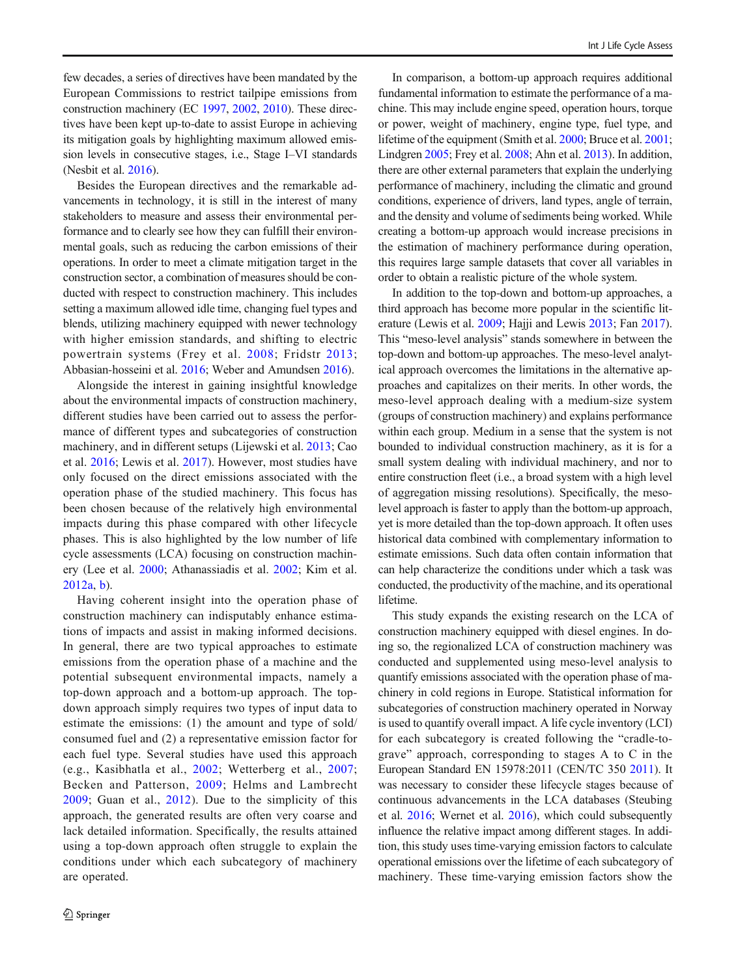few decades, a series of directives have been mandated by the European Commissions to restrict tailpipe emissions from construction machinery (EC [1997](#page-12-0), [2002,](#page-12-0) [2010\)](#page-12-0). These directives have been kept up-to-date to assist Europe in achieving its mitigation goals by highlighting maximum allowed emission levels in consecutive stages, i.e., Stage I–VI standards (Nesbit et al. [2016](#page-13-0)).

Besides the European directives and the remarkable advancements in technology, it is still in the interest of many stakeholders to measure and assess their environmental performance and to clearly see how they can fulfill their environmental goals, such as reducing the carbon emissions of their operations. In order to meet a climate mitigation target in the construction sector, a combination of measures should be conducted with respect to construction machinery. This includes setting a maximum allowed idle time, changing fuel types and blends, utilizing machinery equipped with newer technology with higher emission standards, and shifting to electric powertrain systems (Frey et al. [2008](#page-12-0); Fridstr [2013](#page-12-0); Abbasian-hosseini et al. [2016](#page-12-0); Weber and Amundsen [2016](#page-13-0)).

Alongside the interest in gaining insightful knowledge about the environmental impacts of construction machinery, different studies have been carried out to assess the performance of different types and subcategories of construction machinery, and in different setups (Lijewski et al. [2013](#page-13-0); Cao et al. [2016](#page-12-0); Lewis et al. [2017\)](#page-13-0). However, most studies have only focused on the direct emissions associated with the operation phase of the studied machinery. This focus has been chosen because of the relatively high environmental impacts during this phase compared with other lifecycle phases. This is also highlighted by the low number of life cycle assessments (LCA) focusing on construction machinery (Lee et al. [2000;](#page-13-0) Athanassiadis et al. [2002](#page-12-0); Kim et al. [2012a](#page-13-0), [b\)](#page-13-0).

Having coherent insight into the operation phase of construction machinery can indisputably enhance estimations of impacts and assist in making informed decisions. In general, there are two typical approaches to estimate emissions from the operation phase of a machine and the potential subsequent environmental impacts, namely a top-down approach and a bottom-up approach. The topdown approach simply requires two types of input data to estimate the emissions: (1) the amount and type of sold/ consumed fuel and (2) a representative emission factor for each fuel type. Several studies have used this approach (e.g., Kasibhatla et al., [2002;](#page-13-0) Wetterberg et al., [2007](#page-13-0); Becken and Patterson, [2009](#page-12-0); Helms and Lambrecht [2009](#page-12-0); Guan et al., [2012\)](#page-12-0). Due to the simplicity of this approach, the generated results are often very coarse and lack detailed information. Specifically, the results attained using a top-down approach often struggle to explain the conditions under which each subcategory of machinery are operated.

In comparison, a bottom-up approach requires additional fundamental information to estimate the performance of a machine. This may include engine speed, operation hours, torque or power, weight of machinery, engine type, fuel type, and lifetime of the equipment (Smith et al. [2000](#page-13-0); Bruce et al. [2001;](#page-12-0) Lindgren [2005](#page-13-0); Frey et al. [2008](#page-12-0); Ahn et al. [2013](#page-12-0)). In addition, there are other external parameters that explain the underlying performance of machinery, including the climatic and ground conditions, experience of drivers, land types, angle of terrain, and the density and volume of sediments being worked. While creating a bottom-up approach would increase precisions in the estimation of machinery performance during operation, this requires large sample datasets that cover all variables in order to obtain a realistic picture of the whole system.

In addition to the top-down and bottom-up approaches, a third approach has become more popular in the scientific literature (Lewis et al. [2009](#page-13-0); Hajji and Lewis [2013](#page-12-0); Fan [2017\)](#page-12-0). This "meso-level analysis" stands somewhere in between the top-down and bottom-up approaches. The meso-level analytical approach overcomes the limitations in the alternative approaches and capitalizes on their merits. In other words, the meso-level approach dealing with a medium-size system (groups of construction machinery) and explains performance within each group. Medium in a sense that the system is not bounded to individual construction machinery, as it is for a small system dealing with individual machinery, and nor to entire construction fleet (i.e., a broad system with a high level of aggregation missing resolutions). Specifically, the mesolevel approach is faster to apply than the bottom-up approach, yet is more detailed than the top-down approach. It often uses historical data combined with complementary information to estimate emissions. Such data often contain information that can help characterize the conditions under which a task was conducted, the productivity of the machine, and its operational lifetime.

This study expands the existing research on the LCA of construction machinery equipped with diesel engines. In doing so, the regionalized LCA of construction machinery was conducted and supplemented using meso-level analysis to quantify emissions associated with the operation phase of machinery in cold regions in Europe. Statistical information for subcategories of construction machinery operated in Norway is used to quantify overall impact. A life cycle inventory (LCI) for each subcategory is created following the "cradle-tograve" approach, corresponding to stages A to C in the European Standard EN 15978:2011 (CEN/TC 350 [2011\)](#page-12-0). It was necessary to consider these lifecycle stages because of continuous advancements in the LCA databases (Steubing et al. [2016](#page-13-0); Wernet et al. [2016](#page-13-0)), which could subsequently influence the relative impact among different stages. In addition, this study uses time-varying emission factors to calculate operational emissions over the lifetime of each subcategory of machinery. These time-varying emission factors show the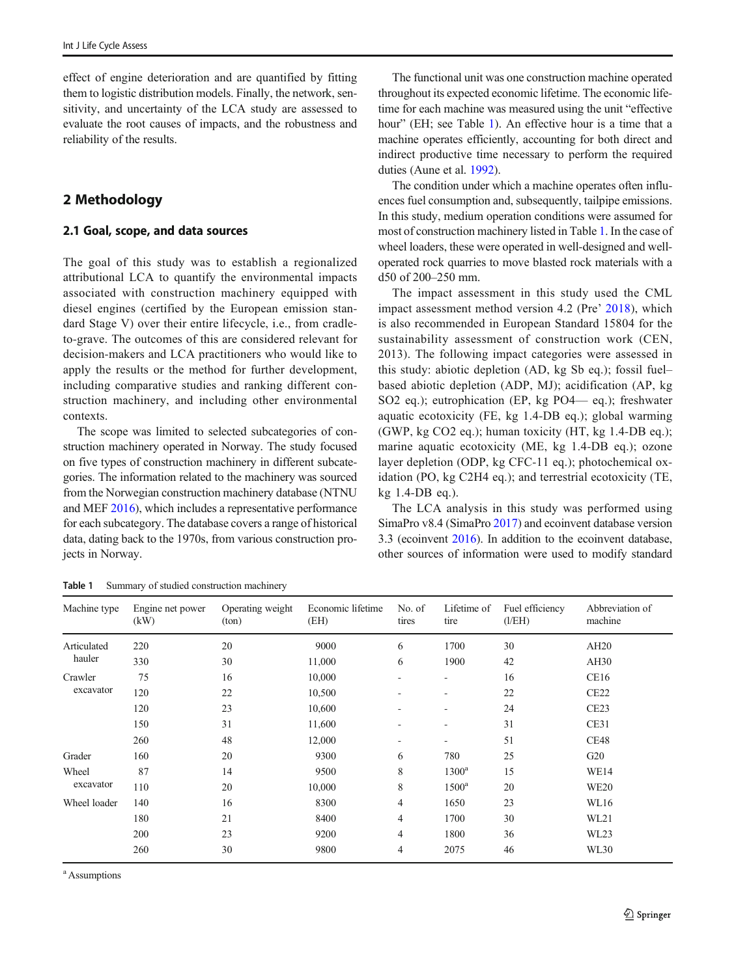<span id="page-2-0"></span>effect of engine deterioration and are quantified by fitting them to logistic distribution models. Finally, the network, sensitivity, and uncertainty of the LCA study are assessed to evaluate the root causes of impacts, and the robustness and reliability of the results.

## 2 Methodology

### 2.1 Goal, scope, and data sources

The goal of this study was to establish a regionalized attributional LCA to quantify the environmental impacts associated with construction machinery equipped with diesel engines (certified by the European emission standard Stage V) over their entire lifecycle, i.e., from cradleto-grave. The outcomes of this are considered relevant for decision-makers and LCA practitioners who would like to apply the results or the method for further development, including comparative studies and ranking different construction machinery, and including other environmental contexts.

The scope was limited to selected subcategories of construction machinery operated in Norway. The study focused on five types of construction machinery in different subcategories. The information related to the machinery was sourced from the Norwegian construction machinery database (NTNU and MEF [2016](#page-13-0)), which includes a representative performance for each subcategory. The database covers a range of historical data, dating back to the 1970s, from various construction projects in Norway.

The functional unit was one construction machine operated throughout its expected economic lifetime. The economic lifetime for each machine was measured using the unit "effective hour" (EH; see Table 1). An effective hour is a time that a machine operates efficiently, accounting for both direct and indirect productive time necessary to perform the required duties (Aune et al. [1992\)](#page-12-0).

The condition under which a machine operates often influences fuel consumption and, subsequently, tailpipe emissions. In this study, medium operation conditions were assumed for most of construction machinery listed in Table 1. In the case of wheel loaders, these were operated in well-designed and welloperated rock quarries to move blasted rock materials with a d50 of 200–250 mm.

The impact assessment in this study used the CML impact assessment method version 4.2 (Pre' [2018\)](#page-13-0), which is also recommended in European Standard 15804 for the sustainability assessment of construction work (CEN, 2013). The following impact categories were assessed in this study: abiotic depletion (AD, kg Sb eq.); fossil fuel– based abiotic depletion (ADP, MJ); acidification (AP, kg SO2 eq.); eutrophication (EP, kg PO4— eq.); freshwater aquatic ecotoxicity (FE, kg 1.4-DB eq.); global warming (GWP,  $kg CO2 eq.$ ); human toxicity (HT,  $kg 1.4-DB eq.$ ); marine aquatic ecotoxicity (ME, kg 1.4-DB eq.); ozone layer depletion (ODP, kg CFC-11 eq.); photochemical oxidation (PO, kg C2H4 eq.); and terrestrial ecotoxicity (TE, kg 1.4-DB eq.).

The LCA analysis in this study was performed using SimaPro v8.4 (SimaPro [2017](#page-13-0)) and ecoinvent database version 3.3 (ecoinvent [2016\)](#page-12-0). In addition to the ecoinvent database, other sources of information were used to modify standard

Table 1 Summary of studied construction machinery

| Machine type                                                                                   | Engine net power<br>(kW) | Operating weight<br>(ton) | Economic lifetime<br>(EH) | No. of<br>tires | Lifetime of<br>tire | Fuel efficiency<br>(l/EH)                                                 | Abbreviation of<br>machine |
|------------------------------------------------------------------------------------------------|--------------------------|---------------------------|---------------------------|-----------------|---------------------|---------------------------------------------------------------------------|----------------------------|
| Articulated                                                                                    | 220                      | 20                        | 9000                      | 6               | 1700                | 30                                                                        | AH20                       |
| hauler<br>330<br>30<br>75<br>16<br>Crawler<br>excavator<br>120<br>22<br>120<br>23<br>150<br>31 | 11,000                   | 6                         | 1900                      | 42              | AH30                |                                                                           |                            |
|                                                                                                |                          |                           | 10,000                    | ۰               | ۰                   | 16                                                                        | CE16                       |
|                                                                                                |                          |                           | 10,500                    |                 | ۰                   | 22                                                                        | CE <sub>22</sub>           |
|                                                                                                |                          |                           | 10,600                    |                 | ٠                   | 24                                                                        | CE23                       |
|                                                                                                |                          |                           | 11,600                    |                 | ۰                   | 31                                                                        | CE31                       |
|                                                                                                | 260                      | 48                        | 12,000                    | ۰               | ۰.                  | 51                                                                        | <b>CE48</b>                |
| Grader                                                                                         | 160                      | 20                        | 9300                      | 6               | 780                 | 25                                                                        | G20                        |
| Wheel                                                                                          | 87                       | 14                        | 9500                      | 8               | $1300^a$            | 15                                                                        | <b>WE14</b>                |
| excavator                                                                                      | 110                      | 20                        | 10,000                    | 8               | $1500^a$            | 20<br><b>WE20</b><br>23<br>WL16<br>30<br>WL21<br>36<br>WL23<br>46<br>WL30 |                            |
| Wheel loader                                                                                   | 140                      | 16                        | 8300                      | $\overline{4}$  | 1650                |                                                                           |                            |
|                                                                                                | 180                      | 21                        | 8400                      | 4               | 1700                |                                                                           |                            |
|                                                                                                | 200                      | 23                        | 9200                      | 4               | 1800                |                                                                           |                            |
|                                                                                                | 260                      | 30                        | 9800                      | 4               | 2075                |                                                                           |                            |

a Assumptions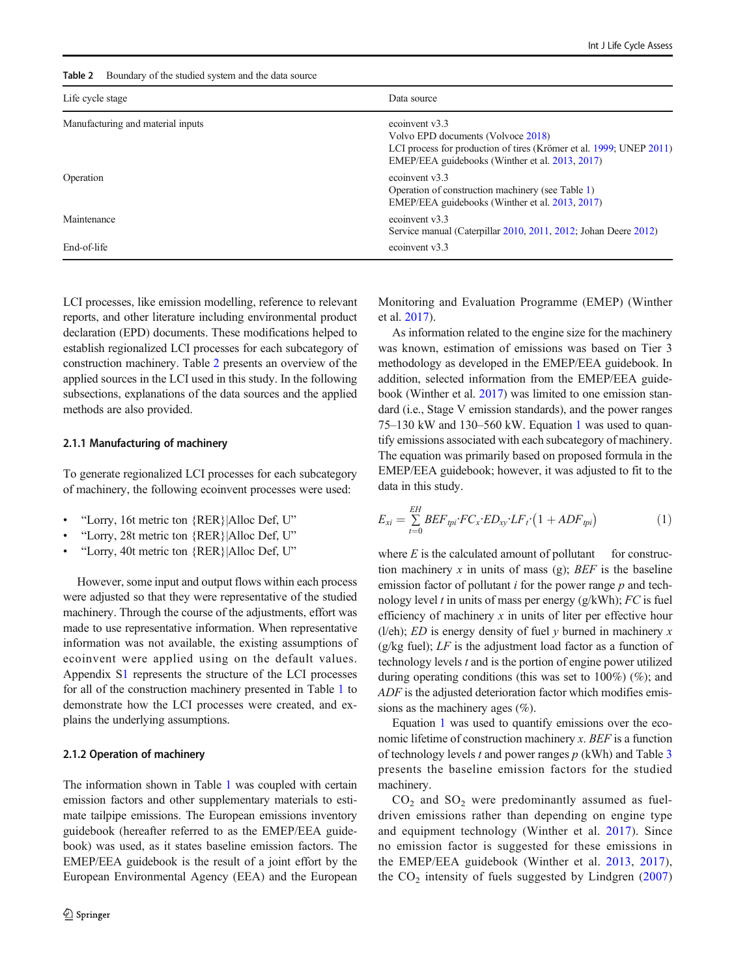#### Table 2 Boundary of the studied system and the data source

| Life cycle stage                  | Data source                                                                                                                                                                    |  |  |  |  |  |
|-----------------------------------|--------------------------------------------------------------------------------------------------------------------------------------------------------------------------------|--|--|--|--|--|
| Manufacturing and material inputs | ecoinvent v3.3<br>Volvo EPD documents (Volvoce 2018)<br>LCI process for production of tires (Krömer et al. 1999; UNEP 2011)<br>EMEP/EEA guidebooks (Winther et al. 2013, 2017) |  |  |  |  |  |
| Operation                         | ecoinvent $v3.3$<br>Operation of construction machinery (see Table 1)<br>EMEP/EEA guidebooks (Winther et al. 2013, 2017)                                                       |  |  |  |  |  |
| Maintenance                       | ecoinvent $v3.3$<br>Service manual (Caterpillar 2010, 2011, 2012; Johan Deere 2012)                                                                                            |  |  |  |  |  |
| End-of-life                       | ecoinvent $v3.3$                                                                                                                                                               |  |  |  |  |  |

LCI processes, like emission modelling, reference to relevant reports, and other literature including environmental product declaration (EPD) documents. These modifications helped to establish regionalized LCI processes for each subcategory of construction machinery. Table 2 presents an overview of the applied sources in the LCI used in this study. In the following subsections, explanations of the data sources and the applied methods are also provided.

#### 2.1.1 Manufacturing of machinery

To generate regionalized LCI processes for each subcategory of machinery, the following ecoinvent processes were used:

- & "Lorry, 16t metric ton {RER}|Alloc Def, U"
- & "Lorry, 28t metric ton {RER}|Alloc Def, U"
- & "Lorry, 40t metric ton {RER}|Alloc Def, U"

However, some input and output flows within each process were adjusted so that they were representative of the studied machinery. Through the course of the adjustments, effort was made to use representative information. When representative information was not available, the existing assumptions of ecoinvent were applied using on the default values. Appendix S1 represents the structure of the LCI processes for all of the construction machinery presented in Table [1](#page-2-0) to demonstrate how the LCI processes were created, and explains the underlying assumptions.

#### 2.1.2 Operation of machinery

The information shown in Table [1](#page-2-0) was coupled with certain emission factors and other supplementary materials to estimate tailpipe emissions. The European emissions inventory guidebook (hereafter referred to as the EMEP/EEA guidebook) was used, as it states baseline emission factors. The EMEP/EEA guidebook is the result of a joint effort by the European Environmental Agency (EEA) and the European Monitoring and Evaluation Programme (EMEP) (Winther et al. [2017](#page-13-0)).

As information related to the engine size for the machinery was known, estimation of emissions was based on Tier 3 methodology as developed in the EMEP/EEA guidebook. In addition, selected information from the EMEP/EEA guidebook (Winther et al. [2017](#page-13-0)) was limited to one emission standard (i.e., Stage V emission standards), and the power ranges 75–130 kW and 130–560 kW. Equation 1 was used to quantify emissions associated with each subcategory of machinery. The equation was primarily based on proposed formula in the EMEP/EEA guidebook; however, it was adjusted to fit to the data in this study.

$$
E_{xi} = \sum_{t=0}^{EH} BEF_{\psi i} \cdot FC_x \cdot ED_{xy} \cdot LF_t \cdot (1 + ADF_{\psi i}) \tag{1}
$$

where  $E$  is the calculated amount of pollutant for construction machinery x in units of mass (g);  $BEF$  is the baseline emission factor of pollutant  $i$  for the power range  $p$  and technology level t in units of mass per energy  $(g/kWh)$ ; FC is fuel efficiency of machinery  $x$  in units of liter per effective hour (l/eh); ED is energy density of fuel  $y$  burned in machinery  $x$ (g/kg fuel);  $LF$  is the adjustment load factor as a function of technology levels t and is the portion of engine power utilized during operating conditions (this was set to 100%) (%); and ADF is the adjusted deterioration factor which modifies emissions as the machinery ages (%).

Equation 1 was used to quantify emissions over the economic lifetime of construction machinery  $x$ . BEF is a function of technology levels t and power ranges  $p$  (kWh) and Table [3](#page-4-0) presents the baseline emission factors for the studied machinery.

 $CO<sub>2</sub>$  and  $SO<sub>2</sub>$  were predominantly assumed as fueldriven emissions rather than depending on engine type and equipment technology (Winther et al. [2017](#page-13-0)). Since no emission factor is suggested for these emissions in the EMEP/EEA guidebook (Winther et al. [2013](#page-13-0), [2017](#page-13-0)), the  $CO<sub>2</sub>$  intensity of fuels suggested by Lindgren ([2007](#page-13-0))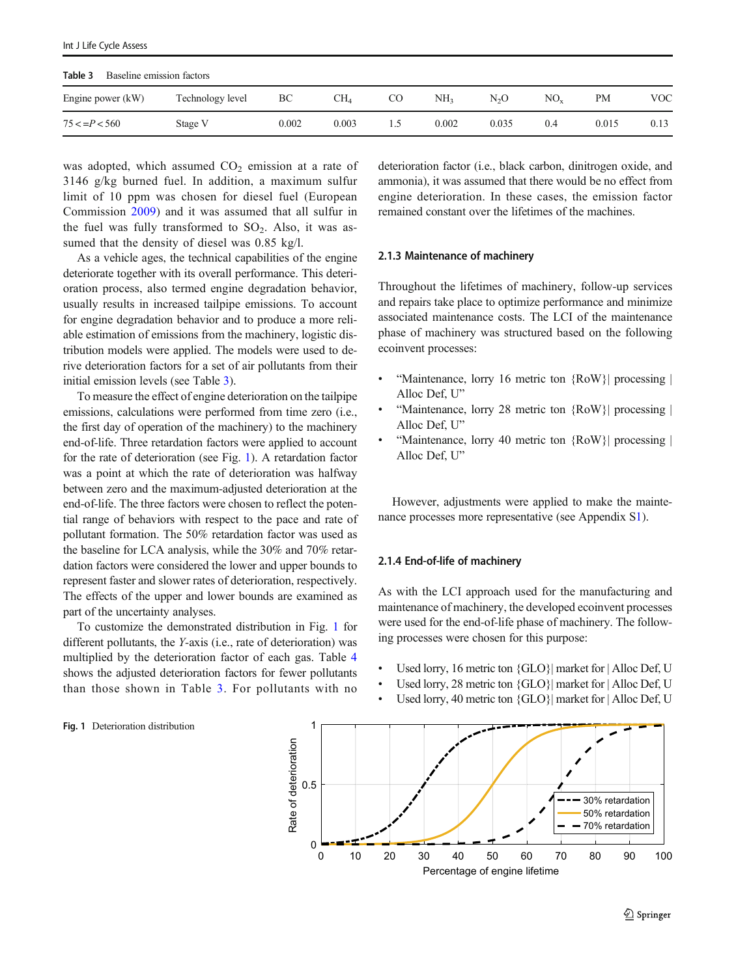<span id="page-4-0"></span>

| Table 3<br>Baseline emission factors |                  |       |       |     |                 |                  |          |       |      |  |
|--------------------------------------|------------------|-------|-------|-----|-----------------|------------------|----------|-------|------|--|
| Engine power (kW)                    | Technology level | BC    | CH4   | CO  | NH <sub>3</sub> | N <sub>2</sub> O | $NO_{v}$ | PМ    | VOC  |  |
| $75 < = P < 560$                     | Stage V          | 0.002 | 0.003 | L.) | 0.002           | 0.035            | 0.4      | 0.015 | 0.13 |  |

was adopted, which assumed  $CO<sub>2</sub>$  emission at a rate of 3146 g/kg burned fuel. In addition, a maximum sulfur limit of 10 ppm was chosen for diesel fuel (European Commission [2009](#page-12-0)) and it was assumed that all sulfur in the fuel was fully transformed to  $SO_2$ . Also, it was assumed that the density of diesel was 0.85 kg/l.

As a vehicle ages, the technical capabilities of the engine deteriorate together with its overall performance. This deterioration process, also termed engine degradation behavior, usually results in increased tailpipe emissions. To account for engine degradation behavior and to produce a more reliable estimation of emissions from the machinery, logistic distribution models were applied. The models were used to derive deterioration factors for a set of air pollutants from their initial emission levels (see Table 3).

To measure the effect of engine deterioration on the tailpipe emissions, calculations were performed from time zero (i.e., the first day of operation of the machinery) to the machinery end-of-life. Three retardation factors were applied to account for the rate of deterioration (see Fig. 1). A retardation factor was a point at which the rate of deterioration was halfway between zero and the maximum-adjusted deterioration at the end-of-life. The three factors were chosen to reflect the potential range of behaviors with respect to the pace and rate of pollutant formation. The 50% retardation factor was used as the baseline for LCA analysis, while the 30% and 70% retardation factors were considered the lower and upper bounds to represent faster and slower rates of deterioration, respectively. The effects of the upper and lower bounds are examined as part of the uncertainty analyses.

To customize the demonstrated distribution in Fig. 1 for different pollutants, the Y-axis (i.e., rate of deterioration) was multiplied by the deterioration factor of each gas. Table [4](#page-5-0) shows the adjusted deterioration factors for fewer pollutants than those shown in Table 3. For pollutants with no deterioration factor (i.e., black carbon, dinitrogen oxide, and ammonia), it was assumed that there would be no effect from engine deterioration. In these cases, the emission factor remained constant over the lifetimes of the machines.

#### 2.1.3 Maintenance of machinery

Throughout the lifetimes of machinery, follow-up services and repairs take place to optimize performance and minimize associated maintenance costs. The LCI of the maintenance phase of machinery was structured based on the following ecoinvent processes:

- "Maintenance, lorry 16 metric ton {RoW}| processing | Alloc Def, U"
- "Maintenance, lorry 28 metric ton {RoW}| processing | Alloc Def, U"
- "Maintenance, lorry 40 metric ton {RoW}| processing | Alloc Def, U"

However, adjustments were applied to make the maintenance processes more representative (see Appendix S1).

#### 2.1.4 End-of-life of machinery

As with the LCI approach used for the manufacturing and maintenance of machinery, the developed ecoinvent processes were used for the end-of-life phase of machinery. The following processes were chosen for this purpose:

- Used lorry, 16 metric ton {GLO}| market for | Alloc Def, U
- Used lorry, 28 metric ton {GLO}| market for | Alloc Def, U
- Used lorry, 40 metric ton {GLO}| market for | Alloc Def, U



#### Fig. 1 Deterioration distribution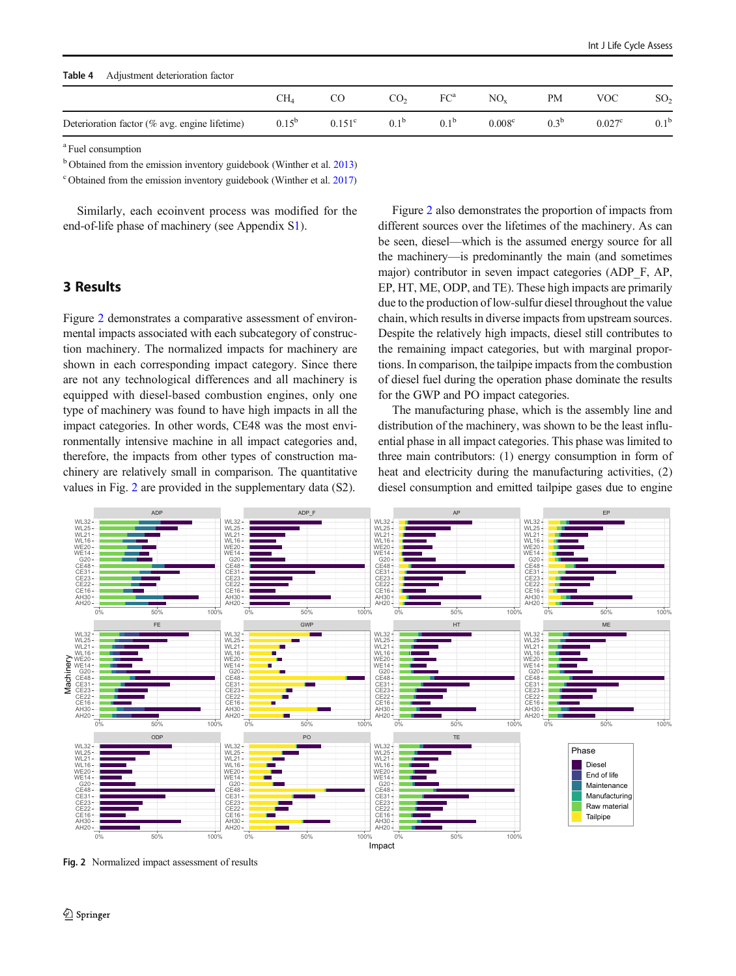<span id="page-5-0"></span>

| Table 4<br>Adjustment deterioration factor        |            |                 |                  |                  |                    |                  |                    |                  |  |  |
|---------------------------------------------------|------------|-----------------|------------------|------------------|--------------------|------------------|--------------------|------------------|--|--|
|                                                   | CH4        |                 | CO <sub>2</sub>  | $FC^a$           | $NO_{\rm v}$       | PМ               | VOC                | SO <sub>2</sub>  |  |  |
| Deterioration factor ( $\%$ avg. engine lifetime) | $0.15^{b}$ | $0.151^{\circ}$ | 0.1 <sup>b</sup> | 0.1 <sup>b</sup> | 0.008 <sup>c</sup> | 0.3 <sup>b</sup> | 0.027 <sup>c</sup> | 0.1 <sup>b</sup> |  |  |

<sup>a</sup> Fuel consumption

<sup>b</sup> Obtained from the emission inventory guidebook (Winther et al. [2013\)](#page-13-0)

<sup>c</sup> Obtained from the emission inventory guidebook (Winther et al. [2017](#page-13-0))

Similarly, each ecoinvent process was modified for the end-of-life phase of machinery (see Appendix S1).

## 3 Results

Figure 2 demonstrates a comparative assessment of environmental impacts associated with each subcategory of construction machinery. The normalized impacts for machinery are shown in each corresponding impact category. Since there are not any technological differences and all machinery is equipped with diesel-based combustion engines, only one type of machinery was found to have high impacts in all the impact categories. In other words, CE48 was the most environmentally intensive machine in all impact categories and, therefore, the impacts from other types of construction machinery are relatively small in comparison. The quantitative values in Fig. 2 are provided in the supplementary data (S2).

Figure 2 also demonstrates the proportion of impacts from different sources over the lifetimes of the machinery. As can be seen, diesel—which is the assumed energy source for all the machinery—is predominantly the main (and sometimes major) contributor in seven impact categories (ADP\_F, AP, EP, HT, ME, ODP, and TE). These high impacts are primarily due to the production of low-sulfur diesel throughout the value chain, which results in diverse impacts from upstream sources. Despite the relatively high impacts, diesel still contributes to the remaining impact categories, but with marginal proportions. In comparison, the tailpipe impacts from the combustion of diesel fuel during the operation phase dominate the results for the GWP and PO impact categories.

The manufacturing phase, which is the assembly line and distribution of the machinery, was shown to be the least influential phase in all impact categories. This phase was limited to three main contributors: (1) energy consumption in form of heat and electricity during the manufacturing activities, (2) diesel consumption and emitted tailpipe gases due to engine



Fig. 2 Normalized impact assessment of results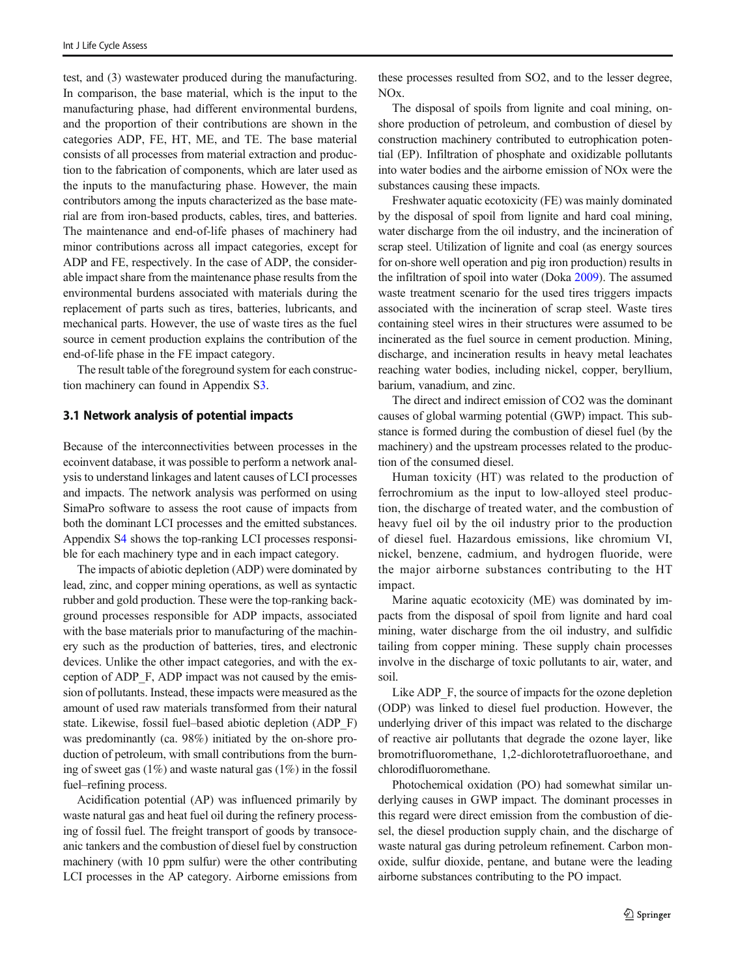test, and (3) wastewater produced during the manufacturing. In comparison, the base material, which is the input to the manufacturing phase, had different environmental burdens, and the proportion of their contributions are shown in the categories ADP, FE, HT, ME, and TE. The base material consists of all processes from material extraction and production to the fabrication of components, which are later used as the inputs to the manufacturing phase. However, the main contributors among the inputs characterized as the base material are from iron-based products, cables, tires, and batteries. The maintenance and end-of-life phases of machinery had minor contributions across all impact categories, except for ADP and FE, respectively. In the case of ADP, the considerable impact share from the maintenance phase results from the environmental burdens associated with materials during the replacement of parts such as tires, batteries, lubricants, and mechanical parts. However, the use of waste tires as the fuel source in cement production explains the contribution of the end-of-life phase in the FE impact category.

The result table of the foreground system for each construction machinery can found in Appendix S3.

#### 3.1 Network analysis of potential impacts

Because of the interconnectivities between processes in the ecoinvent database, it was possible to perform a network analysis to understand linkages and latent causes of LCI processes and impacts. The network analysis was performed on using SimaPro software to assess the root cause of impacts from both the dominant LCI processes and the emitted substances. Appendix S4 shows the top-ranking LCI processes responsible for each machinery type and in each impact category.

The impacts of abiotic depletion (ADP) were dominated by lead, zinc, and copper mining operations, as well as syntactic rubber and gold production. These were the top-ranking background processes responsible for ADP impacts, associated with the base materials prior to manufacturing of the machinery such as the production of batteries, tires, and electronic devices. Unlike the other impact categories, and with the exception of ADP\_F, ADP impact was not caused by the emission of pollutants. Instead, these impacts were measured as the amount of used raw materials transformed from their natural state. Likewise, fossil fuel–based abiotic depletion (ADP\_F) was predominantly (ca. 98%) initiated by the on-shore production of petroleum, with small contributions from the burning of sweet gas (1%) and waste natural gas (1%) in the fossil fuel–refining process.

Acidification potential (AP) was influenced primarily by waste natural gas and heat fuel oil during the refinery processing of fossil fuel. The freight transport of goods by transoceanic tankers and the combustion of diesel fuel by construction machinery (with 10 ppm sulfur) were the other contributing LCI processes in the AP category. Airborne emissions from

these processes resulted from SO2, and to the lesser degree, NOx.

The disposal of spoils from lignite and coal mining, onshore production of petroleum, and combustion of diesel by construction machinery contributed to eutrophication potential (EP). Infiltration of phosphate and oxidizable pollutants into water bodies and the airborne emission of NOx were the substances causing these impacts.

Freshwater aquatic ecotoxicity (FE) was mainly dominated by the disposal of spoil from lignite and hard coal mining, water discharge from the oil industry, and the incineration of scrap steel. Utilization of lignite and coal (as energy sources for on-shore well operation and pig iron production) results in the infiltration of spoil into water (Doka [2009\)](#page-12-0). The assumed waste treatment scenario for the used tires triggers impacts associated with the incineration of scrap steel. Waste tires containing steel wires in their structures were assumed to be incinerated as the fuel source in cement production. Mining, discharge, and incineration results in heavy metal leachates reaching water bodies, including nickel, copper, beryllium, barium, vanadium, and zinc.

The direct and indirect emission of CO2 was the dominant causes of global warming potential (GWP) impact. This substance is formed during the combustion of diesel fuel (by the machinery) and the upstream processes related to the production of the consumed diesel.

Human toxicity (HT) was related to the production of ferrochromium as the input to low-alloyed steel production, the discharge of treated water, and the combustion of heavy fuel oil by the oil industry prior to the production of diesel fuel. Hazardous emissions, like chromium VI, nickel, benzene, cadmium, and hydrogen fluoride, were the major airborne substances contributing to the HT impact.

Marine aquatic ecotoxicity (ME) was dominated by impacts from the disposal of spoil from lignite and hard coal mining, water discharge from the oil industry, and sulfidic tailing from copper mining. These supply chain processes involve in the discharge of toxic pollutants to air, water, and soil.

Like ADP F, the source of impacts for the ozone depletion (ODP) was linked to diesel fuel production. However, the underlying driver of this impact was related to the discharge of reactive air pollutants that degrade the ozone layer, like bromotrifluoromethane, 1,2-dichlorotetrafluoroethane, and chlorodifluoromethane.

Photochemical oxidation (PO) had somewhat similar underlying causes in GWP impact. The dominant processes in this regard were direct emission from the combustion of diesel, the diesel production supply chain, and the discharge of waste natural gas during petroleum refinement. Carbon monoxide, sulfur dioxide, pentane, and butane were the leading airborne substances contributing to the PO impact.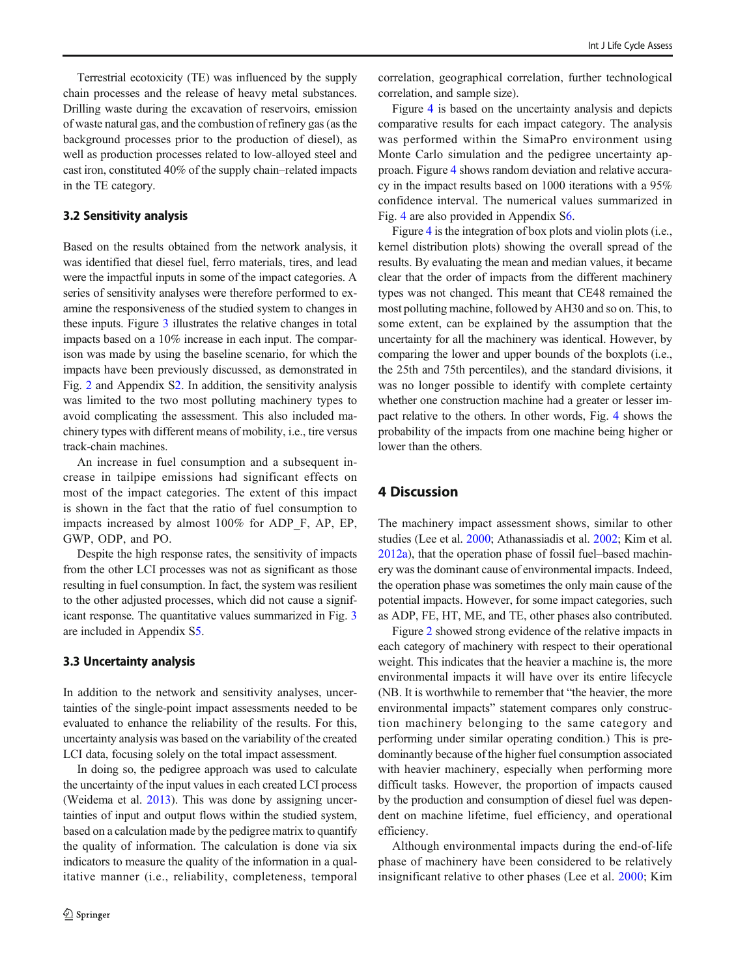Terrestrial ecotoxicity (TE) was influenced by the supply chain processes and the release of heavy metal substances. Drilling waste during the excavation of reservoirs, emission of waste natural gas, and the combustion of refinery gas (as the background processes prior to the production of diesel), as well as production processes related to low-alloyed steel and cast iron, constituted 40% of the supply chain–related impacts in the TE category.

## 3.2 Sensitivity analysis

Based on the results obtained from the network analysis, it was identified that diesel fuel, ferro materials, tires, and lead were the impactful inputs in some of the impact categories. A series of sensitivity analyses were therefore performed to examine the responsiveness of the studied system to changes in these inputs. Figure [3](#page-8-0) illustrates the relative changes in total impacts based on a 10% increase in each input. The comparison was made by using the baseline scenario, for which the impacts have been previously discussed, as demonstrated in Fig. [2](#page-5-0) and Appendix S2. In addition, the sensitivity analysis was limited to the two most polluting machinery types to avoid complicating the assessment. This also included machinery types with different means of mobility, i.e., tire versus track-chain machines.

An increase in fuel consumption and a subsequent increase in tailpipe emissions had significant effects on most of the impact categories. The extent of this impact is shown in the fact that the ratio of fuel consumption to impacts increased by almost 100% for ADP\_F, AP, EP, GWP, ODP, and PO.

Despite the high response rates, the sensitivity of impacts from the other LCI processes was not as significant as those resulting in fuel consumption. In fact, the system was resilient to the other adjusted processes, which did not cause a significant response. The quantitative values summarized in Fig. [3](#page-8-0) are included in Appendix S5.

#### 3.3 Uncertainty analysis

In addition to the network and sensitivity analyses, uncertainties of the single-point impact assessments needed to be evaluated to enhance the reliability of the results. For this, uncertainty analysis was based on the variability of the created LCI data, focusing solely on the total impact assessment.

In doing so, the pedigree approach was used to calculate the uncertainty of the input values in each created LCI process (Weidema et al. [2013\)](#page-13-0). This was done by assigning uncertainties of input and output flows within the studied system, based on a calculation made by the pedigree matrix to quantify the quality of information. The calculation is done via six indicators to measure the quality of the information in a qualitative manner (i.e., reliability, completeness, temporal

correlation, geographical correlation, further technological correlation, and sample size).

Figure [4](#page-9-0) is based on the uncertainty analysis and depicts comparative results for each impact category. The analysis was performed within the SimaPro environment using Monte Carlo simulation and the pedigree uncertainty approach. Figure [4](#page-9-0) shows random deviation and relative accuracy in the impact results based on 1000 iterations with a 95% confidence interval. The numerical values summarized in Fig. [4](#page-9-0) are also provided in Appendix S6.

Figure [4](#page-9-0) is the integration of box plots and violin plots (i.e., kernel distribution plots) showing the overall spread of the results. By evaluating the mean and median values, it became clear that the order of impacts from the different machinery types was not changed. This meant that CE48 remained the most polluting machine, followed by AH30 and so on. This, to some extent, can be explained by the assumption that the uncertainty for all the machinery was identical. However, by comparing the lower and upper bounds of the boxplots (i.e., the 25th and 75th percentiles), and the standard divisions, it was no longer possible to identify with complete certainty whether one construction machine had a greater or lesser impact relative to the others. In other words, Fig. [4](#page-9-0) shows the probability of the impacts from one machine being higher or lower than the others.

## 4 Discussion

The machinery impact assessment shows, similar to other studies (Lee et al. [2000](#page-13-0); Athanassiadis et al. [2002;](#page-12-0) Kim et al. [2012a\)](#page-13-0), that the operation phase of fossil fuel–based machinery was the dominant cause of environmental impacts. Indeed, the operation phase was sometimes the only main cause of the potential impacts. However, for some impact categories, such as ADP, FE, HT, ME, and TE, other phases also contributed.

Figure [2](#page-5-0) showed strong evidence of the relative impacts in each category of machinery with respect to their operational weight. This indicates that the heavier a machine is, the more environmental impacts it will have over its entire lifecycle (NB. It is worthwhile to remember that "the heavier, the more environmental impacts" statement compares only construction machinery belonging to the same category and performing under similar operating condition.) This is predominantly because of the higher fuel consumption associated with heavier machinery, especially when performing more difficult tasks. However, the proportion of impacts caused by the production and consumption of diesel fuel was dependent on machine lifetime, fuel efficiency, and operational efficiency.

Although environmental impacts during the end-of-life phase of machinery have been considered to be relatively insignificant relative to other phases (Lee et al. [2000;](#page-13-0) Kim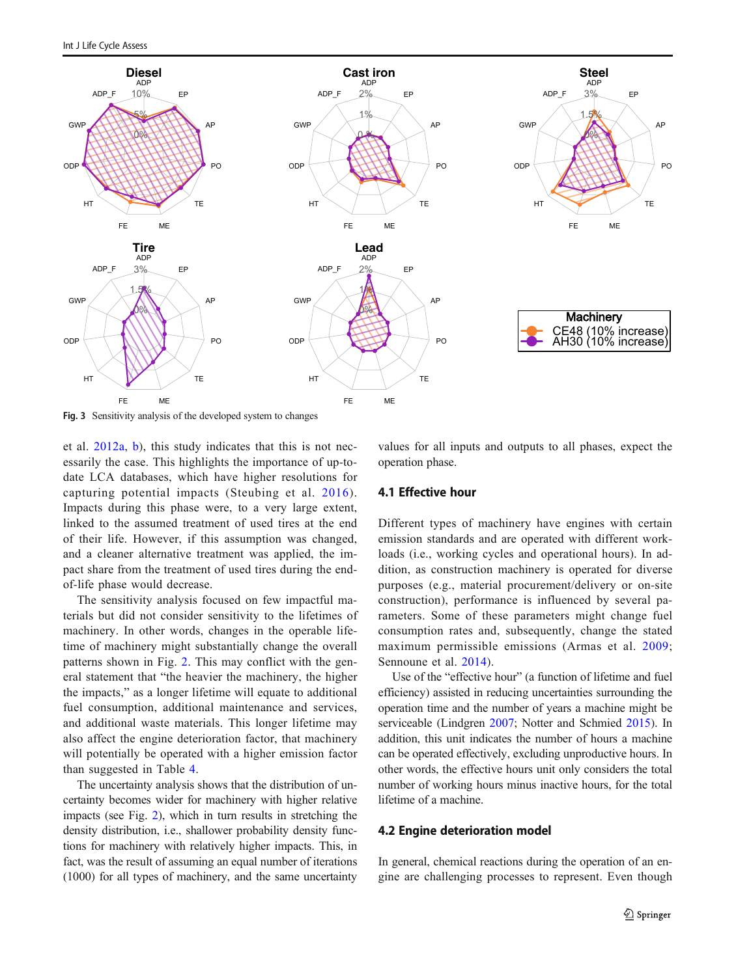<span id="page-8-0"></span>

Fig. 3 Sensitivity analysis of the developed system to changes

et al. [2012a,](#page-13-0) [b](#page-13-0)), this study indicates that this is not necessarily the case. This highlights the importance of up-todate LCA databases, which have higher resolutions for capturing potential impacts (Steubing et al. [2016\)](#page-13-0). Impacts during this phase were, to a very large extent, linked to the assumed treatment of used tires at the end of their life. However, if this assumption was changed, and a cleaner alternative treatment was applied, the impact share from the treatment of used tires during the endof-life phase would decrease.

The sensitivity analysis focused on few impactful materials but did not consider sensitivity to the lifetimes of machinery. In other words, changes in the operable lifetime of machinery might substantially change the overall patterns shown in Fig. [2.](#page-5-0) This may conflict with the general statement that "the heavier the machinery, the higher the impacts," as a longer lifetime will equate to additional fuel consumption, additional maintenance and services, and additional waste materials. This longer lifetime may also affect the engine deterioration factor, that machinery will potentially be operated with a higher emission factor than suggested in Table [4](#page-5-0).

The uncertainty analysis shows that the distribution of uncertainty becomes wider for machinery with higher relative impacts (see Fig. [2](#page-5-0)), which in turn results in stretching the density distribution, i.e., shallower probability density functions for machinery with relatively higher impacts. This, in fact, was the result of assuming an equal number of iterations (1000) for all types of machinery, and the same uncertainty

values for all inputs and outputs to all phases, expect the operation phase.

## 4.1 Effective hour

Different types of machinery have engines with certain emission standards and are operated with different workloads (i.e., working cycles and operational hours). In addition, as construction machinery is operated for diverse purposes (e.g., material procurement/delivery or on-site construction), performance is influenced by several parameters. Some of these parameters might change fuel consumption rates and, subsequently, change the stated maximum permissible emissions (Armas et al. [2009;](#page-12-0) Sennoune et al. [2014](#page-13-0)).

Use of the "effective hour" (a function of lifetime and fuel efficiency) assisted in reducing uncertainties surrounding the operation time and the number of years a machine might be serviceable (Lindgren [2007](#page-13-0); Notter and Schmied [2015\)](#page-13-0). In addition, this unit indicates the number of hours a machine can be operated effectively, excluding unproductive hours. In other words, the effective hours unit only considers the total number of working hours minus inactive hours, for the total lifetime of a machine.

#### 4.2 Engine deterioration model

In general, chemical reactions during the operation of an engine are challenging processes to represent. Even though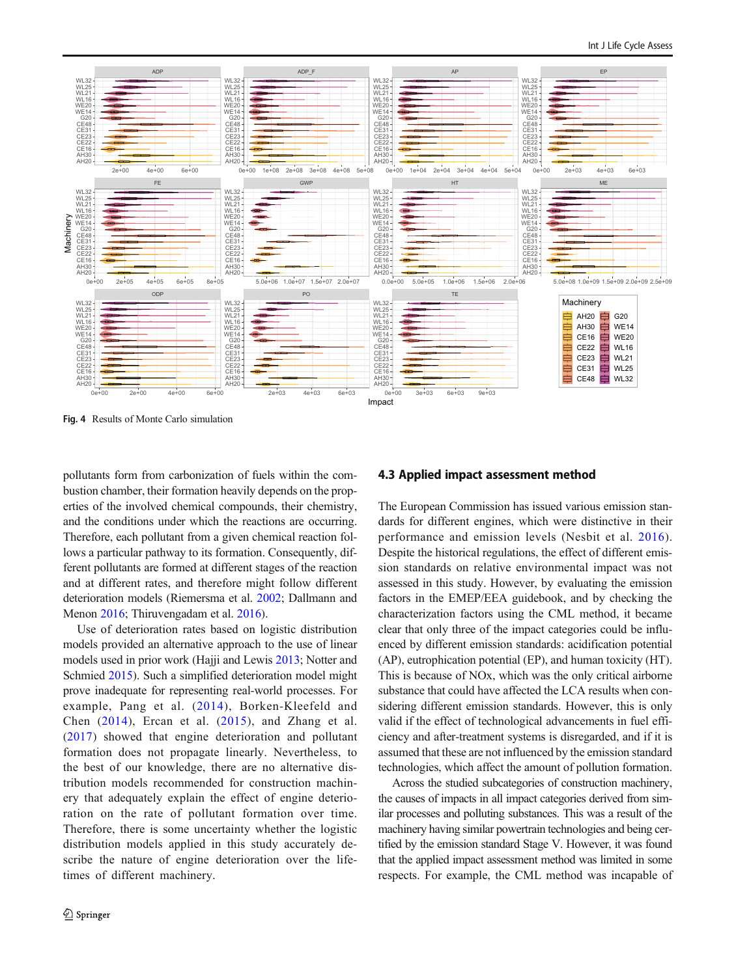<span id="page-9-0"></span>

Fig. 4 Results of Monte Carlo simulation

pollutants form from carbonization of fuels within the combustion chamber, their formation heavily depends on the properties of the involved chemical compounds, their chemistry, and the conditions under which the reactions are occurring. Therefore, each pollutant from a given chemical reaction follows a particular pathway to its formation. Consequently, different pollutants are formed at different stages of the reaction and at different rates, and therefore might follow different deterioration models (Riemersma et al. [2002;](#page-13-0) Dallmann and Menon [2016;](#page-12-0) Thiruvengadam et al. [2016](#page-13-0)).

Use of deterioration rates based on logistic distribution models provided an alternative approach to the use of linear models used in prior work (Hajji and Lewis [2013;](#page-12-0) Notter and Schmied [2015](#page-13-0)). Such a simplified deterioration model might prove inadequate for representing real-world processes. For example, Pang et al. ([2014](#page-13-0)), Borken-Kleefeld and Chen  $(2014)$ , Ercan et al.  $(2015)$  $(2015)$  $(2015)$ , and Zhang et al. [\(2017](#page-13-0)) showed that engine deterioration and pollutant formation does not propagate linearly. Nevertheless, to the best of our knowledge, there are no alternative distribution models recommended for construction machinery that adequately explain the effect of engine deterioration on the rate of pollutant formation over time. Therefore, there is some uncertainty whether the logistic distribution models applied in this study accurately describe the nature of engine deterioration over the lifetimes of different machinery.

#### 4.3 Applied impact assessment method

The European Commission has issued various emission standards for different engines, which were distinctive in their performance and emission levels (Nesbit et al. [2016](#page-13-0)). Despite the historical regulations, the effect of different emission standards on relative environmental impact was not assessed in this study. However, by evaluating the emission factors in the EMEP/EEA guidebook, and by checking the characterization factors using the CML method, it became clear that only three of the impact categories could be influenced by different emission standards: acidification potential (AP), eutrophication potential (EP), and human toxicity (HT). This is because of NOx, which was the only critical airborne substance that could have affected the LCA results when considering different emission standards. However, this is only valid if the effect of technological advancements in fuel efficiency and after-treatment systems is disregarded, and if it is assumed that these are not influenced by the emission standard technologies, which affect the amount of pollution formation.

Across the studied subcategories of construction machinery, the causes of impacts in all impact categories derived from similar processes and polluting substances. This was a result of the machinery having similar powertrain technologies and being certified by the emission standard Stage V. However, it was found that the applied impact assessment method was limited in some respects. For example, the CML method was incapable of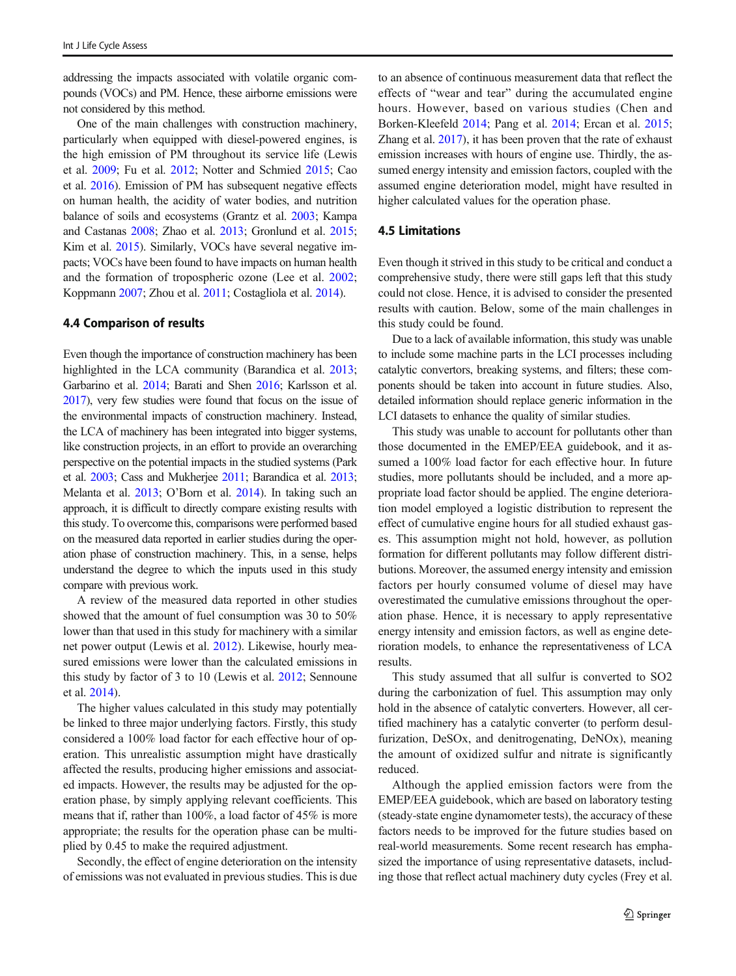addressing the impacts associated with volatile organic compounds (VOCs) and PM. Hence, these airborne emissions were not considered by this method.

One of the main challenges with construction machinery, particularly when equipped with diesel-powered engines, is the high emission of PM throughout its service life (Lewis et al. [2009](#page-13-0); Fu et al. [2012;](#page-12-0) Notter and Schmied [2015](#page-13-0); Cao et al. [2016](#page-12-0)). Emission of PM has subsequent negative effects on human health, the acidity of water bodies, and nutrition balance of soils and ecosystems (Grantz et al. [2003](#page-12-0); Kampa and Castanas [2008](#page-12-0); Zhao et al. [2013](#page-13-0); Gronlund et al. [2015](#page-12-0); Kim et al. [2015\)](#page-13-0). Similarly, VOCs have several negative impacts; VOCs have been found to have impacts on human health and the formation of tropospheric ozone (Lee et al. [2002](#page-13-0); Koppmann [2007](#page-13-0); Zhou et al. [2011;](#page-13-0) Costagliola et al. [2014\)](#page-12-0).

## 4.4 Comparison of results

Even though the importance of construction machinery has been highlighted in the LCA community (Barandica et al. [2013](#page-12-0); Garbarino et al. [2014;](#page-12-0) Barati and Shen [2016](#page-12-0); Karlsson et al. [2017\)](#page-12-0), very few studies were found that focus on the issue of the environmental impacts of construction machinery. Instead, the LCA of machinery has been integrated into bigger systems, like construction projects, in an effort to provide an overarching perspective on the potential impacts in the studied systems (Park et al. [2003](#page-13-0); Cass and Mukherjee [2011;](#page-12-0) Barandica et al. [2013](#page-12-0); Melanta et al. [2013](#page-13-0); O'Born et al. [2014](#page-13-0)). In taking such an approach, it is difficult to directly compare existing results with this study. To overcome this, comparisons were performed based on the measured data reported in earlier studies during the operation phase of construction machinery. This, in a sense, helps understand the degree to which the inputs used in this study compare with previous work.

A review of the measured data reported in other studies showed that the amount of fuel consumption was 30 to 50% lower than that used in this study for machinery with a similar net power output (Lewis et al. [2012](#page-13-0)). Likewise, hourly measured emissions were lower than the calculated emissions in this study by factor of 3 to 10 (Lewis et al. [2012;](#page-13-0) Sennoune et al. [2014](#page-13-0)).

The higher values calculated in this study may potentially be linked to three major underlying factors. Firstly, this study considered a 100% load factor for each effective hour of operation. This unrealistic assumption might have drastically affected the results, producing higher emissions and associated impacts. However, the results may be adjusted for the operation phase, by simply applying relevant coefficients. This means that if, rather than 100%, a load factor of 45% is more appropriate; the results for the operation phase can be multiplied by 0.45 to make the required adjustment.

Secondly, the effect of engine deterioration on the intensity of emissions was not evaluated in previous studies. This is due to an absence of continuous measurement data that reflect the effects of "wear and tear" during the accumulated engine hours. However, based on various studies (Chen and Borken-Kleefeld [2014](#page-12-0); Pang et al. [2014](#page-13-0); Ercan et al. [2015;](#page-12-0) Zhang et al. [2017](#page-13-0)), it has been proven that the rate of exhaust emission increases with hours of engine use. Thirdly, the assumed energy intensity and emission factors, coupled with the assumed engine deterioration model, might have resulted in higher calculated values for the operation phase.

#### 4.5 Limitations

Even though it strived in this study to be critical and conduct a comprehensive study, there were still gaps left that this study could not close. Hence, it is advised to consider the presented results with caution. Below, some of the main challenges in this study could be found.

Due to a lack of available information, this study was unable to include some machine parts in the LCI processes including catalytic convertors, breaking systems, and filters; these components should be taken into account in future studies. Also, detailed information should replace generic information in the LCI datasets to enhance the quality of similar studies.

This study was unable to account for pollutants other than those documented in the EMEP/EEA guidebook, and it assumed a 100% load factor for each effective hour. In future studies, more pollutants should be included, and a more appropriate load factor should be applied. The engine deterioration model employed a logistic distribution to represent the effect of cumulative engine hours for all studied exhaust gases. This assumption might not hold, however, as pollution formation for different pollutants may follow different distributions. Moreover, the assumed energy intensity and emission factors per hourly consumed volume of diesel may have overestimated the cumulative emissions throughout the operation phase. Hence, it is necessary to apply representative energy intensity and emission factors, as well as engine deterioration models, to enhance the representativeness of LCA results.

This study assumed that all sulfur is converted to SO2 during the carbonization of fuel. This assumption may only hold in the absence of catalytic converters. However, all certified machinery has a catalytic converter (to perform desulfurization, DeSOx, and denitrogenating, DeNOx), meaning the amount of oxidized sulfur and nitrate is significantly reduced.

Although the applied emission factors were from the EMEP/EEA guidebook, which are based on laboratory testing (steady-state engine dynamometer tests), the accuracy of these factors needs to be improved for the future studies based on real-world measurements. Some recent research has emphasized the importance of using representative datasets, including those that reflect actual machinery duty cycles (Frey et al.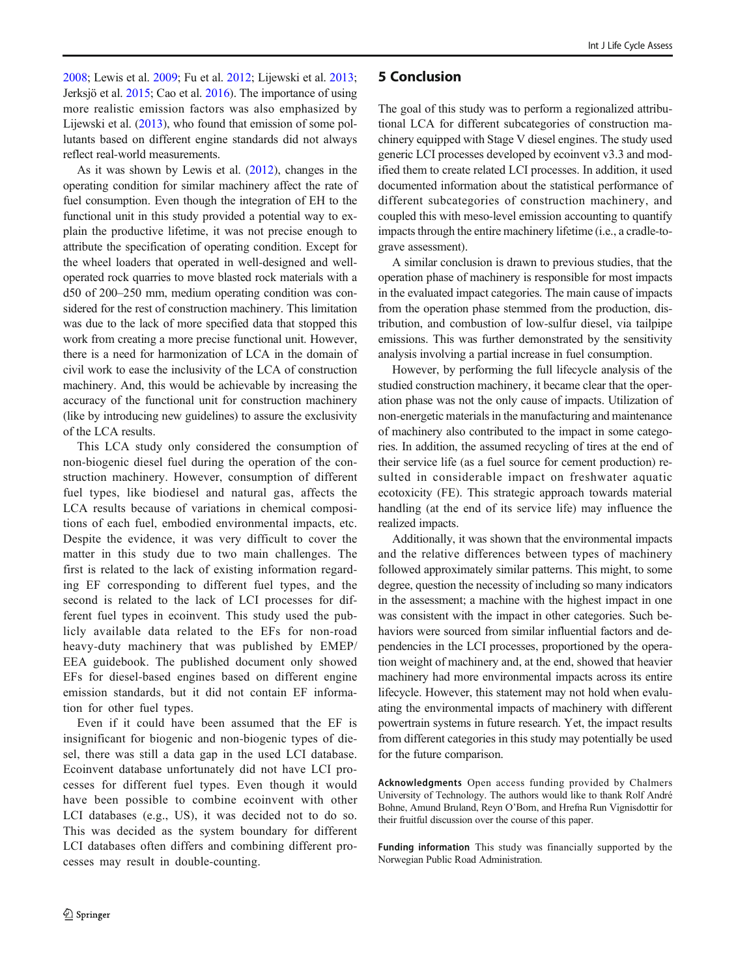[2008;](#page-12-0) Lewis et al. [2009;](#page-13-0) Fu et al. [2012](#page-12-0); Lijewski et al. [2013](#page-13-0); Jerksjö et al. [2015;](#page-12-0) Cao et al. [2016\)](#page-12-0). The importance of using more realistic emission factors was also emphasized by Lijewski et al. [\(2013\)](#page-13-0), who found that emission of some pollutants based on different engine standards did not always reflect real-world measurements.

As it was shown by Lewis et al. ([2012\)](#page-13-0), changes in the operating condition for similar machinery affect the rate of fuel consumption. Even though the integration of EH to the functional unit in this study provided a potential way to explain the productive lifetime, it was not precise enough to attribute the specification of operating condition. Except for the wheel loaders that operated in well-designed and welloperated rock quarries to move blasted rock materials with a d50 of 200–250 mm, medium operating condition was considered for the rest of construction machinery. This limitation was due to the lack of more specified data that stopped this work from creating a more precise functional unit. However, there is a need for harmonization of LCA in the domain of civil work to ease the inclusivity of the LCA of construction machinery. And, this would be achievable by increasing the accuracy of the functional unit for construction machinery (like by introducing new guidelines) to assure the exclusivity of the LCA results.

This LCA study only considered the consumption of non-biogenic diesel fuel during the operation of the construction machinery. However, consumption of different fuel types, like biodiesel and natural gas, affects the LCA results because of variations in chemical compositions of each fuel, embodied environmental impacts, etc. Despite the evidence, it was very difficult to cover the matter in this study due to two main challenges. The first is related to the lack of existing information regarding EF corresponding to different fuel types, and the second is related to the lack of LCI processes for different fuel types in ecoinvent. This study used the publicly available data related to the EFs for non-road heavy-duty machinery that was published by EMEP/ EEA guidebook. The published document only showed EFs for diesel-based engines based on different engine emission standards, but it did not contain EF information for other fuel types.

Even if it could have been assumed that the EF is insignificant for biogenic and non-biogenic types of diesel, there was still a data gap in the used LCI database. Ecoinvent database unfortunately did not have LCI processes for different fuel types. Even though it would have been possible to combine ecoinvent with other LCI databases (e.g., US), it was decided not to do so. This was decided as the system boundary for different LCI databases often differs and combining different processes may result in double-counting.

## 5 Conclusion

The goal of this study was to perform a regionalized attributional LCA for different subcategories of construction machinery equipped with Stage V diesel engines. The study used generic LCI processes developed by ecoinvent v3.3 and modified them to create related LCI processes. In addition, it used documented information about the statistical performance of different subcategories of construction machinery, and coupled this with meso-level emission accounting to quantify impacts through the entire machinery lifetime (i.e., a cradle-tograve assessment).

A similar conclusion is drawn to previous studies, that the operation phase of machinery is responsible for most impacts in the evaluated impact categories. The main cause of impacts from the operation phase stemmed from the production, distribution, and combustion of low-sulfur diesel, via tailpipe emissions. This was further demonstrated by the sensitivity analysis involving a partial increase in fuel consumption.

However, by performing the full lifecycle analysis of the studied construction machinery, it became clear that the operation phase was not the only cause of impacts. Utilization of non-energetic materials in the manufacturing and maintenance of machinery also contributed to the impact in some categories. In addition, the assumed recycling of tires at the end of their service life (as a fuel source for cement production) resulted in considerable impact on freshwater aquatic ecotoxicity (FE). This strategic approach towards material handling (at the end of its service life) may influence the realized impacts.

Additionally, it was shown that the environmental impacts and the relative differences between types of machinery followed approximately similar patterns. This might, to some degree, question the necessity of including so many indicators in the assessment; a machine with the highest impact in one was consistent with the impact in other categories. Such behaviors were sourced from similar influential factors and dependencies in the LCI processes, proportioned by the operation weight of machinery and, at the end, showed that heavier machinery had more environmental impacts across its entire lifecycle. However, this statement may not hold when evaluating the environmental impacts of machinery with different powertrain systems in future research. Yet, the impact results from different categories in this study may potentially be used for the future comparison.

Acknowledgments Open access funding provided by Chalmers University of Technology. The authors would like to thank Rolf André Bohne, Amund Bruland, Reyn O'Born, and Hrefna Run Vignisdottir for their fruitful discussion over the course of this paper.

Funding information This study was financially supported by the Norwegian Public Road Administration.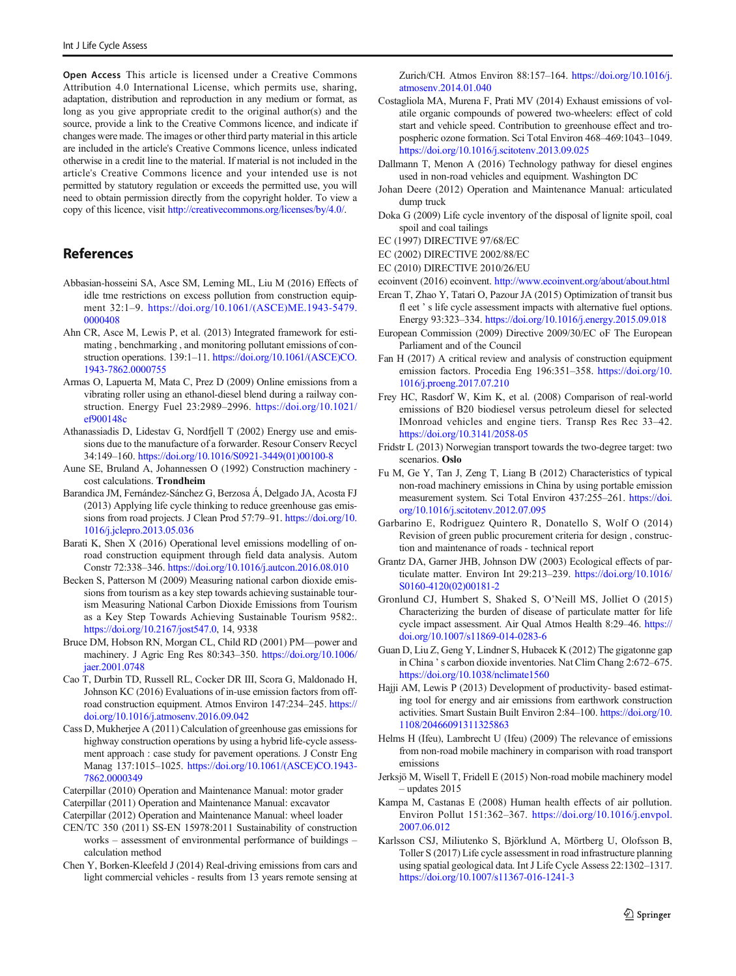<span id="page-12-0"></span>Open Access This article is licensed under a Creative Commons Attribution 4.0 International License, which permits use, sharing, adaptation, distribution and reproduction in any medium or format, as long as you give appropriate credit to the original author(s) and the source, provide a link to the Creative Commons licence, and indicate if changes were made. The images or other third party material in this article are included in the article's Creative Commons licence, unless indicated otherwise in a credit line to the material. If material is not included in the article's Creative Commons licence and your intended use is not permitted by statutory regulation or exceeds the permitted use, you will need to obtain permission directly from the copyright holder. To view a copy of this licence, visit [http://creativecommons.org/licenses/by/4.0/.](http://creativecommons.org/licenses/by/4.0/)

## References

- Abbasian-hosseini SA, Asce SM, Leming ML, Liu M (2016) Effects of idle tme restrictions on excess pollution from construction equipment 32:1–9. [https://doi.org/10.1061/\(ASCE\)ME.1943-5479.](https://doi.org/10.1061/(ASCE)ME.1943-5479.0000408) [0000408](https://doi.org/10.1061/(ASCE)ME.1943-5479.0000408)
- Ahn CR, Asce M, Lewis P, et al. (2013) Integrated framework for estimating , benchmarking , and monitoring pollutant emissions of construction operations. 139:1–11. [https://doi.org/10.1061/\(ASCE\)CO.](https://doi.org/10.1061/(ASCE)CO.1943-7862.0000755) [1943-7862.0000755](https://doi.org/10.1061/(ASCE)CO.1943-7862.0000755)
- Armas O, Lapuerta M, Mata C, Prez D (2009) Online emissions from a vibrating roller using an ethanol-diesel blend during a railway construction. Energy Fuel 23:2989–2996. [https://doi.org/10.1021/](https://doi.org/10.1021/ef900148c) [ef900148c](https://doi.org/10.1021/ef900148c)
- Athanassiadis D, Lidestav G, Nordfjell T (2002) Energy use and emissions due to the manufacture of a forwarder. Resour Conserv Recycl 34:149–160. [https://doi.org/10.1016/S0921-3449\(01\)00100-8](https://doi.org/10.1016/S0921-3449(01)00100-8)
- Aune SE, Bruland A, Johannessen O (1992) Construction machinery cost calculations. Trondheim
- Barandica JM, Fernández-Sánchez G, Berzosa Á, Delgado JA, Acosta FJ (2013) Applying life cycle thinking to reduce greenhouse gas emissions from road projects. J Clean Prod 57:79–91. [https://doi.org/10.](https://doi.org/10.1016/j.jclepro.2013.05.036) [1016/j.jclepro.2013.05.036](https://doi.org/10.1016/j.jclepro.2013.05.036)
- Barati K, Shen X (2016) Operational level emissions modelling of onroad construction equipment through field data analysis. Autom Constr 72:338–346. <https://doi.org/10.1016/j.autcon.2016.08.010>
- Becken S, Patterson M (2009) Measuring national carbon dioxide emissions from tourism as a key step towards achieving sustainable tourism Measuring National Carbon Dioxide Emissions from Tourism as a Key Step Towards Achieving Sustainable Tourism 9582:. <https://doi.org/10.2167/jost547.0>, 14, 9338
- Bruce DM, Hobson RN, Morgan CL, Child RD (2001) PM—power and machinery. J Agric Eng Res 80:343–350. [https://doi.org/10.1006/](http://creativecommons.org/licenses/by/4.0/) [jaer.2001.0748](http://creativecommons.org/licenses/by/4.0/)
- Cao T, Durbin TD, Russell RL, Cocker DR III, Scora G, Maldonado H, Johnson KC (2016) Evaluations of in-use emission factors from offroad construction equipment. Atmos Environ 147:234–245. [https://](https://doi.org/10.1016/j.atmosenv.2016.09.042) [doi.org/10.1016/j.atmosenv.2016.09.042](https://doi.org/10.1016/j.atmosenv.2016.09.042)
- Cass D, Mukherjee A (2011) Calculation of greenhouse gas emissions for highway construction operations by using a hybrid life-cycle assessment approach : case study for pavement operations. J Constr Eng Manag 137:1015–1025. [https://doi.org/10.1061/\(ASCE\)CO.1943-](https://doi.org/10.1061/(ASCE)CO.1943-7862.0000349) [7862.0000349](https://doi.org/10.1061/(ASCE)CO.1943-7862.0000349)
- Caterpillar (2010) Operation and Maintenance Manual: motor grader
- Caterpillar (2011) Operation and Maintenance Manual: excavator

Caterpillar (2012) Operation and Maintenance Manual: wheel loader

- CEN/TC 350 (2011) SS-EN 15978:2011 Sustainability of construction works – assessment of environmental performance of buildings – calculation method
- Chen Y, Borken-Kleefeld J (2014) Real-driving emissions from cars and light commercial vehicles - results from 13 years remote sensing at

Zurich/CH. Atmos Environ 88:157–164. [https://doi.org/10.1016/j.](https://doi.org/10.1016/j.atmosenv.2014.01.040) [atmosenv.2014.01.040](https://doi.org/10.1016/j.atmosenv.2014.01.040)

- Costagliola MA, Murena F, Prati MV (2014) Exhaust emissions of volatile organic compounds of powered two-wheelers: effect of cold start and vehicle speed. Contribution to greenhouse effect and tropospheric ozone formation. Sci Total Environ 468–469:1043–1049. <https://doi.org/10.1016/j.scitotenv.2013.09.025>
- Dallmann T, Menon A (2016) Technology pathway for diesel engines used in non-road vehicles and equipment. Washington DC
- Johan Deere (2012) Operation and Maintenance Manual: articulated dump truck
- Doka G (2009) Life cycle inventory of the disposal of lignite spoil, coal spoil and coal tailings
- EC (1997) DIRECTIVE 97/68/EC
- EC (2002) DIRECTIVE 2002/88/EC
- EC (2010) DIRECTIVE 2010/26/EU
- ecoinvent (2016) ecoinvent. [http://www.ecoinvent.org/about/about.html](http://creativecommons.org/licenses/by/4.0/)
- Ercan T, Zhao Y, Tatari O, Pazour JA (2015) Optimization of transit bus fl eet ' s life cycle assessment impacts with alternative fuel options. Energy 93:323–334. <https://doi.org/10.1016/j.energy.2015.09.018>
- European Commission (2009) Directive 2009/30/EC oF The European Parliament and of the Council
- Fan H (2017) A critical review and analysis of construction equipment emission factors. Procedia Eng 196:351–358. [https://doi.org/10.](https://doi.org/10.1016/j.proeng.2017.07.210) [1016/j.proeng.2017.07.210](https://doi.org/10.1016/j.proeng.2017.07.210)
- Frey HC, Rasdorf W, Kim K, et al. (2008) Comparison of real-world emissions of B20 biodiesel versus petroleum diesel for selected IMonroad vehicles and engine tiers. Transp Res Rec 33–42. <https://doi.org/10.3141/2058-05>
- Fridstr L (2013) Norwegian transport towards the two-degree target: two scenarios. Oslo
- Fu M, Ge Y, Tan J, Zeng T, Liang B (2012) Characteristics of typical non-road machinery emissions in China by using portable emission measurement system. Sci Total Environ 437:255–261. [https://doi.](https://doi.org/10.1016/j.scitotenv.2012.07.095) [org/10.1016/j.scitotenv.2012.07.095](https://doi.org/10.1016/j.scitotenv.2012.07.095)
- Garbarino E, Rodriguez Quintero R, Donatello S, Wolf O (2014) Revision of green public procurement criteria for design , construction and maintenance of roads - technical report
- Grantz DA, Garner JHB, Johnson DW (2003) Ecological effects of particulate matter. Environ Int 29:213–239. [https://doi.org/10.1016/](https://doi.org/10.1016/S0160-4120(02)00181-2) [S0160-4120\(02\)00181-2](https://doi.org/10.1016/S0160-4120(02)00181-2)
- Gronlund CJ, Humbert S, Shaked S, O'Neill MS, Jolliet O (2015) Characterizing the burden of disease of particulate matter for life cycle impact assessment. Air Qual Atmos Health 8:29–46. [https://](https://doi.org/10.1007/s11869-014-0283-6) [doi.org/10.1007/s11869-014-0283-6](https://doi.org/10.1007/s11869-014-0283-6)
- Guan D, Liu Z, Geng Y, Lindner S, Hubacek K (2012) The gigatonne gap in China ' s carbon dioxide inventories. Nat Clim Chang 2:672–675. <https://doi.org/10.1038/nclimate1560>
- Hajji AM, Lewis P (2013) Development of productivity- based estimating tool for energy and air emissions from earthwork construction activities. Smart Sustain Built Environ 2:84–100. [https://doi.org/10.](https://doi.org/10.1108/20466091311325863) [1108/20466091311325863](https://doi.org/10.1108/20466091311325863)
- Helms H (Ifeu), Lambrecht U (Ifeu) (2009) The relevance of emissions from non-road mobile machinery in comparison with road transport emissions
- Jerksjö M, Wisell T, Fridell E (2015) Non-road mobile machinery model – updates 2015
- Kampa M, Castanas E (2008) Human health effects of air pollution. Environ Pollut 151:362–367. [https://doi.org/10.1016/j.envpol.](https://doi.org/10.1016/j.envpol.2007.06.012) [2007.06.012](https://doi.org/10.1016/j.envpol.2007.06.012)
- Karlsson CSJ, Miliutenko S, Björklund A, Mörtberg U, Olofsson B, Toller S (2017) Life cycle assessment in road infrastructure planning using spatial geological data. Int J Life Cycle Assess 22:1302–1317. <https://doi.org/10.1007/s11367-016-1241-3>